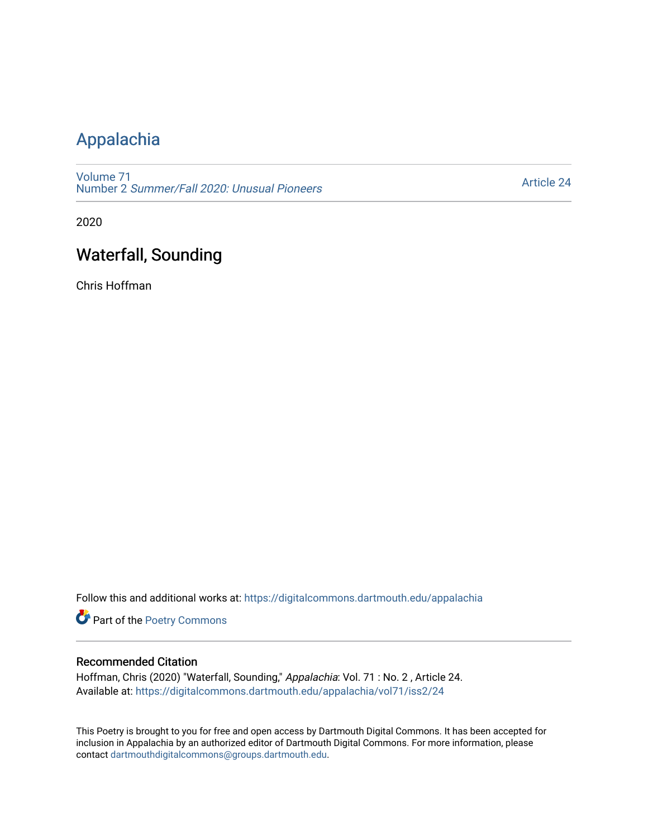## [Appalachia](https://digitalcommons.dartmouth.edu/appalachia)

[Volume 71](https://digitalcommons.dartmouth.edu/appalachia/vol71) Number 2 [Summer/Fall 2020: Unusual Pioneers](https://digitalcommons.dartmouth.edu/appalachia/vol71/iss2)

[Article 24](https://digitalcommons.dartmouth.edu/appalachia/vol71/iss2/24) 

2020

## Waterfall, Sounding

Chris Hoffman

Follow this and additional works at: [https://digitalcommons.dartmouth.edu/appalachia](https://digitalcommons.dartmouth.edu/appalachia?utm_source=digitalcommons.dartmouth.edu%2Fappalachia%2Fvol71%2Fiss2%2F24&utm_medium=PDF&utm_campaign=PDFCoverPages)

Part of the [Poetry Commons](http://network.bepress.com/hgg/discipline/1153?utm_source=digitalcommons.dartmouth.edu%2Fappalachia%2Fvol71%2Fiss2%2F24&utm_medium=PDF&utm_campaign=PDFCoverPages) 

## Recommended Citation

Hoffman, Chris (2020) "Waterfall, Sounding," Appalachia: Vol. 71 : No. 2 , Article 24. Available at: [https://digitalcommons.dartmouth.edu/appalachia/vol71/iss2/24](https://digitalcommons.dartmouth.edu/appalachia/vol71/iss2/24?utm_source=digitalcommons.dartmouth.edu%2Fappalachia%2Fvol71%2Fiss2%2F24&utm_medium=PDF&utm_campaign=PDFCoverPages) 

This Poetry is brought to you for free and open access by Dartmouth Digital Commons. It has been accepted for inclusion in Appalachia by an authorized editor of Dartmouth Digital Commons. For more information, please contact [dartmouthdigitalcommons@groups.dartmouth.edu.](mailto:dartmouthdigitalcommons@groups.dartmouth.edu)